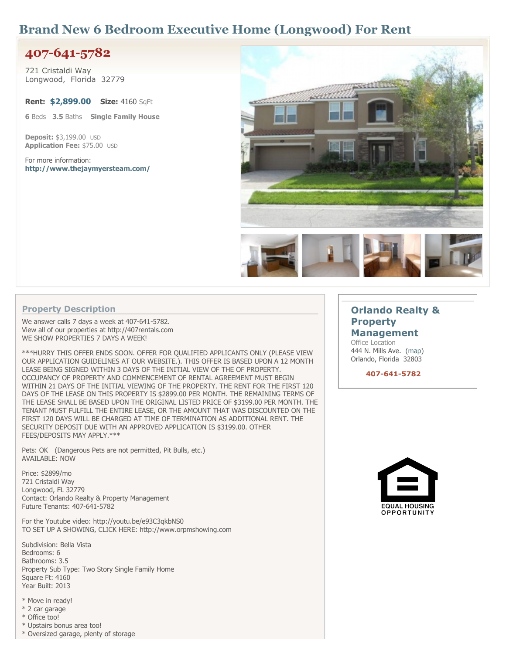# **Brand New 6 Bedroom Executive Home (Longwood) For Rent**

# **407-641-5782**

**721 Cristaldi Way Longwood, Florida 32779**

**Rent: \$2,899.00 Size: 4160 SqFt**

**6 Beds 3.5 Baths Single Family House**

**Deposit: \$3,199.00 USD Application Fee: \$75.00 USD**

**For more information: <http://www.thejaymyersteam.com/>**



### **Property Description**

**We answer calls 7 days a week at 407-641-5782. View all of our properties at http://407rentals.com WE SHOW PROPERTIES 7 DAYS A WEEK!**

**\*\*\*HURRY THIS OFFER ENDS SOON. OFFER FOR QUALIFIED APPLICANTS ONLY (PLEASE VIEW OUR APPLICATION GUIDELINES AT OUR WEBSITE.). THIS OFFER IS BASED UPON A 12 MONTH LEASE BEING SIGNED WITHIN 3 DAYS OF THE INITIAL VIEW OF THE OF PROPERTY. OCCUPANCY OF PROPERTY AND COMMENCEMENT OF RENTAL AGREEMENT MUST BEGIN WITHIN 21 DAYS OF THE INITIAL VIEWING OF THE PROPERTY. THE RENT FOR THE FIRST 120 DAYS OF THE LEASE ON THIS PROPERTY IS \$2899.00 PER MONTH. THE REMAINING TERMS OF THE LEASE SHALL BE BASED UPON THE ORIGINAL LISTED PRICE OF \$3199.00 PER MONTH. THE TENANT MUST FULFILL THE ENTIRE LEASE, OR THE AMOUNT THAT WAS DISCOUNTED ON THE FIRST 120 DAYS WILL BE CHARGED AT TIME OF TERMINATION AS ADDITIONAL RENT. THE SECURITY DEPOSIT DUE WITH AN APPROVED APPLICATION IS \$3199.00. OTHER FEES/DEPOSITS MAY APPLY.\*\*\***

**Pets: OK (Dangerous Pets are not permitted, Pit Bulls, etc.) AVAILABLE: NOW**

**Price: \$2899/mo 721 Cristaldi Way Longwood, FL 32779 Contact: Orlando Realty & Property Management Future Tenants: 407-641-5782**

**For the Youtube video: http://youtu.be/e93C3qkbNS0 TO SET UP A SHOWING, CLICK HERE: http://www.orpmshowing.com**

**Subdivision: Bella Vista Bedrooms: 6 Bathrooms: 3.5 Property Sub Type: Two Story Single Family Home Square Ft: 4160 Year Built: 2013**

- **\* Move in ready!**
- **\* 2 car garage**
- **\* Office too!**
- **\* Upstairs bonus area too!**
- **\* Oversized garage, plenty of storage**

### **[Orlando](http://www.freerentalsite.com/profile/orlando-realty-property-management/) [Realty](http://www.freerentalsite.com/profile/orlando-realty-property-management/) [&](http://www.freerentalsite.com/profile/orlando-realty-property-management/) [Property](http://www.freerentalsite.com/profile/orlando-realty-property-management/)**

#### **[Management](http://www.freerentalsite.com/profile/orlando-realty-property-management/)**

**Office Location 444 N. Mills Ave. [\(map\)](http://maps.google.com/maps?q=444+N.+Mills+Ave.+Orlando,+Florida+32803,+United+States) Orlando, Florida 32803**

 **407-641-5782**